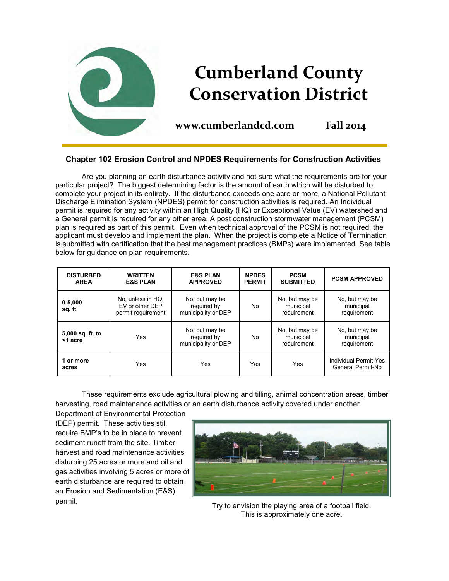

# **Chapter 102 Erosion Control and NPDES Requirements for Construction Activities**

Are you planning an earth disturbance activity and not sure what the requirements are for your particular project? The biggest determining factor is the amount of earth which will be disturbed to complete your project in its entirety. If the disturbance exceeds one acre or more, a National Pollutant Discharge Elimination System (NPDES) permit for construction activities is required. An Individual permit is required for any activity within an High Quality (HQ) or Exceptional Value (EV) watershed and a General permit is required for any other area. A post construction stormwater management (PCSM) plan is required as part of this permit. Even when technical approval of the PCSM is not required, the applicant must develop and implement the plan. When the project is complete a Notice of Termination is submitted with certification that the best management practices (BMPs) were implemented. See table below for guidance on plan requirements.

| <b>DISTURBED</b><br><b>AREA</b> | <b>WRITTEN</b><br><b>E&amp;S PLAN</b>                      | <b>E&amp;S PLAN</b><br><b>APPROVED</b>               | <b>NPDES</b><br><b>PERMIT</b> | <b>PCSM</b><br><b>SUBMITTED</b>            | <b>PCSM APPROVED</b>                       |
|---------------------------------|------------------------------------------------------------|------------------------------------------------------|-------------------------------|--------------------------------------------|--------------------------------------------|
| $0 - 5,000$<br>sq. ft.          | No, unless in HQ.<br>EV or other DEP<br>permit requirement | No, but may be<br>required by<br>municipality or DEP | No                            | No, but may be<br>municipal<br>requirement | No, but may be<br>municipal<br>requirement |
| 5,000 sq. ft. to<br><1 acre     | Yes                                                        | No, but may be<br>required by<br>municipality or DEP | <b>No</b>                     | No, but may be<br>municipal<br>requirement | No, but may be<br>municipal<br>requirement |
| 1 or more<br>acres              | Yes                                                        | Yes                                                  | <b>Yes</b>                    | Yes                                        | Individual Permit-Yes<br>General Permit-No |

These requirements exclude agricultural plowing and tilling, animal concentration areas, timber harvesting, road maintenance activities or an earth disturbance activity covered under another

Department of Environmental Protection (DEP) permit. These activities still require BMP's to be in place to prevent sediment runoff from the site. Timber harvest and road maintenance activities disturbing 25 acres or more and oil and gas activities involving 5 acres or more of earth disturbance are required to obtain an Erosion and Sedimentation (E&S) permit.



Try to envision the playing area of a football field. This is approximately one acre.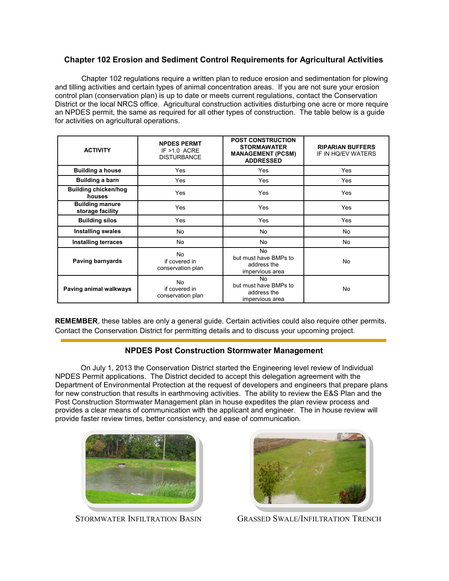### **Chapter 102 Erosion and Sediment Control Requirements for Agricultural Activities**

Chapter 102 regulations require a written plan to reduce erosion and sedimentation for plowing and tilling activities and certain types of animal concentration areas. If you are not sure your erosion control plan (conservation plan) is up to date or meets current regulations, contact the Conservation District or the local NRCS office. Agricultural construction activities disturbing one acre or more require an NPDES permit, the same as required for all other types of construction. The table below is a guide for activities on agricultural operations.

| <b>ACTIVITY</b>                            | <b>NPDES PERMT</b><br>IF $>1.0$ ACRE<br><b>DISTURBANCE</b> | <b>POST CONSTRUCTION</b><br><b>STORMAWATER</b><br><b>MANAGEMENT (PCSM)</b><br><b>ADDRESSED</b> | <b>RIPARIAN BUFFERS</b><br>IF IN HO/EV WATERS |
|--------------------------------------------|------------------------------------------------------------|------------------------------------------------------------------------------------------------|-----------------------------------------------|
| <b>Building a house</b>                    | Yes                                                        | Yes                                                                                            | Yes                                           |
| Building a barn                            | Yes                                                        | Yes                                                                                            | Yes                                           |
| <b>Building chicken/hog</b><br>houses      | Yes                                                        | Yes                                                                                            | Yes                                           |
| <b>Building manure</b><br>storage facility | Yes                                                        | Yes                                                                                            | Yes                                           |
| <b>Building silos</b>                      | Yes                                                        | Yes                                                                                            | Yes                                           |
| <b>Installing swales</b>                   | No.                                                        | No                                                                                             | No.                                           |
| <b>Installing terraces</b>                 | No.                                                        | No                                                                                             | No.                                           |
| Paving barnyards                           | No.<br>if covered in<br>conservation plan                  | <b>No</b><br>but must have BMPs to<br>address the<br>impervious area                           | No.                                           |
| Paving animal walkways                     | No.<br>if covered in<br>conservation plan                  | No<br>but must have BMPs to<br>address the<br>impervious area                                  | No.                                           |

**REMEMBER**, these tables are only a general guide. Certain activities could also require other permits. Contact the Conservation District for permitting details and to discuss your upcoming project.

## **NPDES Post Construction Stormwater Management**

On July 1, 2013 the Conservation District started the Engineering level review of Individual NPDES Permit applications. The District decided to accept this delegation agreement with the Department of Environmental Protection at the request of developers and engineers that prepare plans for new construction that results in earthmoving activities. The ability to review the E&S Plan and the Post Construction Stormwater Management plan in house expedites the plan review process and provides a clear means of communication with the applicant and engineer. The in house review will provide faster review times, better consistency, and ease of communication.





STORMWATER INFILTRATION BASIN GRASSED SWALE/INFILTRATION TRENCH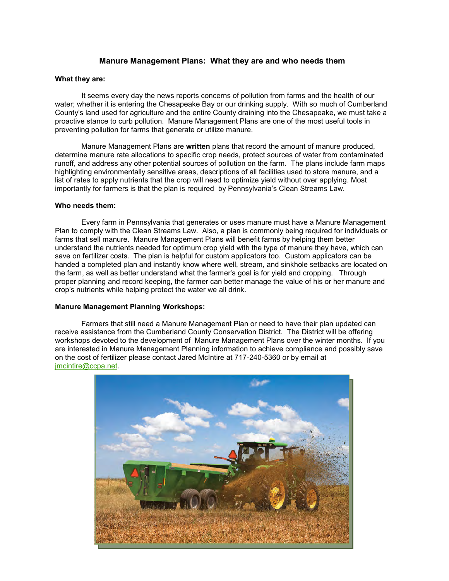### **Manure Management Plans: What they are and who needs them**

#### **What they are:**

It seems every day the news reports concerns of pollution from farms and the health of our water; whether it is entering the Chesapeake Bay or our drinking supply. With so much of Cumberland County's land used for agriculture and the entire County draining into the Chesapeake, we must take a proactive stance to curb pollution. Manure Management Plans are one of the most useful tools in preventing pollution for farms that generate or utilize manure.

Manure Management Plans are **written** plans that record the amount of manure produced, determine manure rate allocations to specific crop needs, protect sources of water from contaminated runoff, and address any other potential sources of pollution on the farm. The plans include farm maps highlighting environmentally sensitive areas, descriptions of all facilities used to store manure, and a list of rates to apply nutrients that the crop will need to optimize yield without over applying. Most importantly for farmers is that the plan is required by Pennsylvania's Clean Streams Law.

#### **Who needs them:**

Every farm in Pennsylvania that generates or uses manure must have a Manure Management Plan to comply with the Clean Streams Law. Also, a plan is commonly being required for individuals or farms that sell manure. Manure Management Plans will benefit farms by helping them better understand the nutrients needed for optimum crop yield with the type of manure they have, which can save on fertilizer costs. The plan is helpful for custom applicators too. Custom applicators can be handed a completed plan and instantly know where well, stream, and sinkhole setbacks are located on the farm, as well as better understand what the farmer's goal is for yield and cropping. Through proper planning and record keeping, the farmer can better manage the value of his or her manure and crop's nutrients while helping protect the water we all drink.

#### **Manure Management Planning Workshops:**

Farmers that still need a Manure Management Plan or need to have their plan updated can receive assistance from the Cumberland County Conservation District. The District will be offering workshops devoted to the development of Manure Management Plans over the winter months. If you are interested in Manure Management Planning information to achieve compliance and possibly save on the cost of fertilizer please contact Jared McIntire at 717-240-5360 or by email at [jmcintire@ccpa.net.](mailto:jmcintire@ccpa.net) 

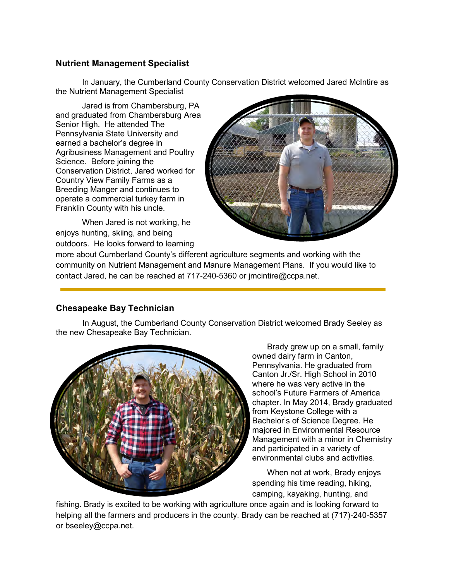# **Nutrient Management Specialist**

In January, the Cumberland County Conservation District welcomed Jared McIntire as the Nutrient Management Specialist

Jared is from Chambersburg, PA and graduated from Chambersburg Area Senior High. He attended The Pennsylvania State University and earned a bachelor's degree in Agribusiness Management and Poultry Science. Before joining the Conservation District, Jared worked for Country View Family Farms as a Breeding Manger and continues to operate a commercial turkey farm in Franklin County with his uncle.

When Jared is not working, he enjoys hunting, skiing, and being outdoors. He looks forward to learning



more about Cumberland County's different agriculture segments and working with the community on Nutrient Management and Manure Management Plans. If you would like to contact Jared, he can be reached at 717-240-5360 or jmcintire@ccpa.net.

# **Chesapeake Bay Technician**

In August, the Cumberland County Conservation District welcomed Brady Seeley as the new Chesapeake Bay Technician.



Brady grew up on a small, family owned dairy farm in Canton, Pennsylvania. He graduated from Canton Jr./Sr. High School in 2010 where he was very active in the school's Future Farmers of America chapter. In May 2014, Brady graduated from Keystone College with a Bachelor's of Science Degree. He majored in Environmental Resource Management with a minor in Chemistry and participated in a variety of environmental clubs and activities.

When not at work, Brady enjoys spending his time reading, hiking, camping, kayaking, hunting, and

fishing. Brady is excited to be working with agriculture once again and is looking forward to helping all the farmers and producers in the county. Brady can be reached at (717)-240-5357 or bseeley@ccpa.net.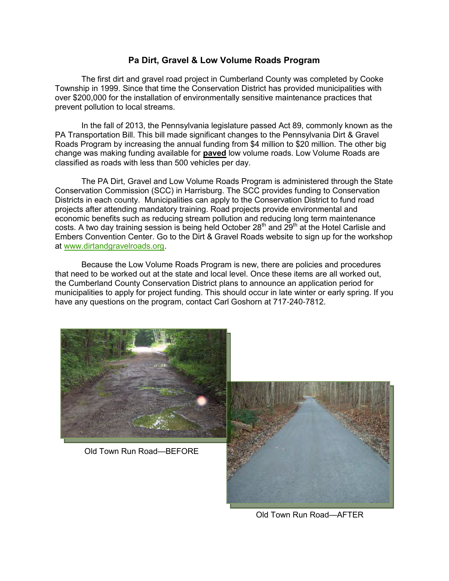# **Pa Dirt, Gravel & Low Volume Roads Program**

The first dirt and gravel road project in Cumberland County was completed by Cooke Township in 1999. Since that time the Conservation District has provided municipalities with over \$200,000 for the installation of environmentally sensitive maintenance practices that prevent pollution to local streams.

In the fall of 2013, the Pennsylvania legislature passed Act 89, commonly known as the PA Transportation Bill. This bill made significant changes to the Pennsylvania Dirt & Gravel Roads Program by increasing the annual funding from \$4 million to \$20 million. The other big change was making funding available for **paved** low volume roads. Low Volume Roads are classified as roads with less than 500 vehicles per day.

The PA Dirt, Gravel and Low Volume Roads Program is administered through the State Conservation Commission (SCC) in Harrisburg. The SCC provides funding to Conservation Districts in each county. Municipalities can apply to the Conservation District to fund road projects after attending mandatory training. Road projects provide environmental and economic benefits such as reducing stream pollution and reducing long term maintenance costs. A two day training session is being held October  $28<sup>th</sup>$  and  $29<sup>th</sup>$  at the Hotel Carlisle and Embers Convention Center. Go to the Dirt & Gravel Roads website to sign up for the workshop at [www.dirtandgravelroads.org.](http://www.dirtandgravelroads.org)

Because the Low Volume Roads Program is new, there are policies and procedures that need to be worked out at the state and local level. Once these items are all worked out, the Cumberland County Conservation District plans to announce an application period for municipalities to apply for project funding. This should occur in late winter or early spring. If you have any questions on the program, contact Carl Goshorn at 717-240-7812.



Old Town Run Road—BEFORE



Old Town Run Road—AFTER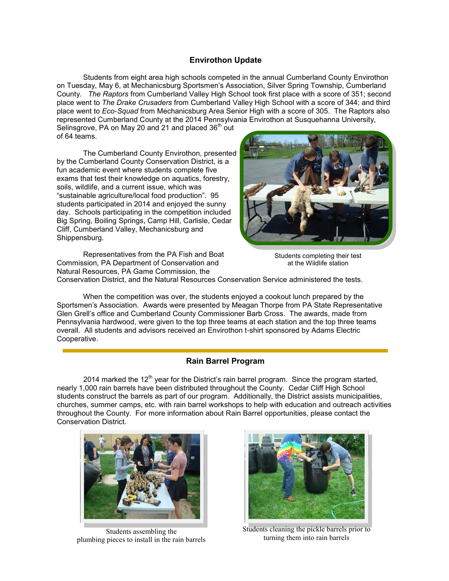### **Envirothon Update**

Students from eight area high schools competed in the annual Cumberland County Envirothon on Tuesday, May 6, at Mechanicsburg Sportsmen's Association, Silver Spring Township, Cumberland County. *The Raptors* from Cumberland Valley High School took first place with a score of 351; second place went to *The Drake Crusaders* from Cumberland Valley High School with a score of 344; and third place went to *Eco-Squad* from Mechanicsburg Area Senior High with a score of 305. The Raptors also represented Cumberland County at the 2014 Pennsylvania Envirothon at Susquehanna University,

Selinsgrove, PA on May 20 and 21 and placed 36<sup>th</sup> out of 64 teams.

The Cumberland County Envirothon, presented by the Cumberland County Conservation District, is a fun academic event where students complete five exams that test their knowledge on aquatics, forestry, soils, wildlife, and a current issue, which was "sustainable agriculture/local food production". 95 students participated in 2014 and enjoyed the sunny day. Schools participating in the competition included Big Spring, Boiling Springs, Camp Hill, Carlisle, Cedar Cliff, Cumberland Valley, Mechanicsburg and Shippensburg.



Representatives from the PA Fish and Boat Commission, PA Department of Conservation and Natural Resources, PA Game Commission, the

Students completing their test at the Wildlife station

Conservation District, and the Natural Resources Conservation Service administered the tests.

When the competition was over, the students enjoyed a cookout lunch prepared by the Sportsmen's Association. Awards were presented by Meagan Thorpe from PA State Representative Glen Grell's office and Cumberland County Commissioner Barb Cross. The awards, made from Pennsylvania hardwood, were given to the top three teams at each station and the top three teams overall. All students and advisors received an Envirothon t-shirt sponsored by Adams Electric Cooperative.

### **Rain Barrel Program**

2014 marked the 12<sup>th</sup> year for the District's rain barrel program. Since the program started, nearly 1,000 rain barrels have been distributed throughout the County. Cedar Cliff High School students construct the barrels as part of our program. Additionally, the District assists municipalities, churches, summer camps, etc. with rain barrel workshops to help with education and outreach activities throughout the County. For more information about Rain Barrel opportunities, please contact the Conservation District.



Students assembling the plumbing pieces to install in the rain barrels



Students cleaning the pickle barrels prior to turning them into rain barrels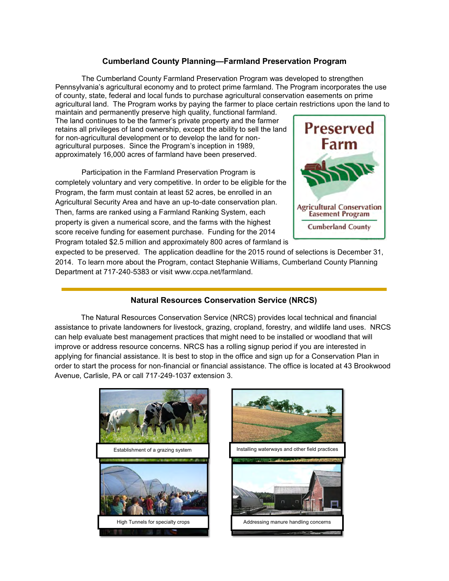### **Cumberland County Planning—Farmland Preservation Program**

The Cumberland County Farmland Preservation Program was developed to strengthen Pennsylvania's agricultural economy and to protect prime farmland. The Program incorporates the use of county, state, federal and local funds to purchase agricultural conservation easements on prime agricultural land. The Program works by paying the farmer to place certain restrictions upon the land to

maintain and permanently preserve high quality, functional farmland. The land continues to be the farmer's private property and the farmer retains all privileges of land ownership, except the ability to sell the land for non-agricultural development or to develop the land for nonagricultural purposes. Since the Program's inception in 1989, approximately 16,000 acres of farmland have been preserved.

Participation in the Farmland Preservation Program is completely voluntary and very competitive. In order to be eligible for the Program, the farm must contain at least 52 acres, be enrolled in an Agricultural Security Area and have an up-to-date conservation plan. Then, farms are ranked using a Farmland Ranking System, each property is given a numerical score, and the farms with the highest score receive funding for easement purchase. Funding for the 2014 Program totaled \$2.5 million and approximately 800 acres of farmland is



expected to be preserved. The application deadline for the 2015 round of selections is December 31, 2014. To learn more about the Program, contact Stephanie Williams, Cumberland County Planning Department at 717-240-5383 or visit www.ccpa.net/farmland.

### **Natural Resources Conservation Service (NRCS)**

The Natural Resources Conservation Service (NRCS) provides local technical and financial assistance to private landowners for livestock, grazing, cropland, forestry, and wildlife land uses. NRCS can help evaluate best management practices that might need to be installed or woodland that will improve or address resource concerns. NRCS has a rolling signup period if you are interested in applying for financial assistance. It is best to stop in the office and sign up for a Conservation Plan in order to start the process for non-financial or financial assistance. The office is located at 43 Brookwood Avenue, Carlisle, PA or call 717-249-1037 extension 3.